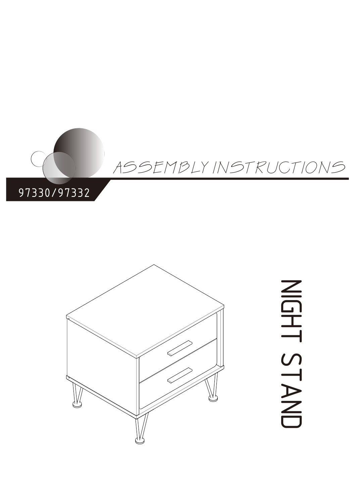



NIG エ<br>い<br>い  $\overline{\phantom{0}}$  $\blacktriangleright$  $\overline{\mathbb{Z}}$  $\Box$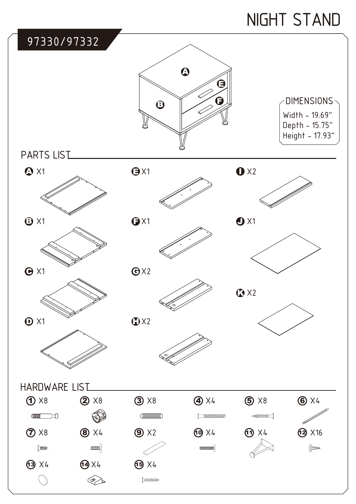# NIGHT STAND

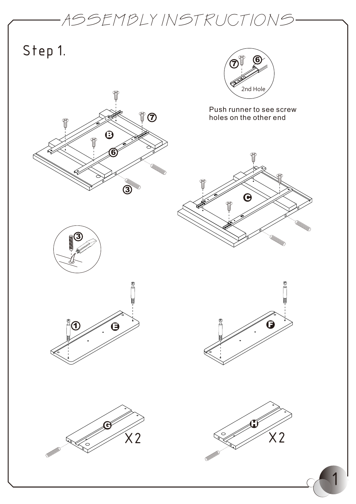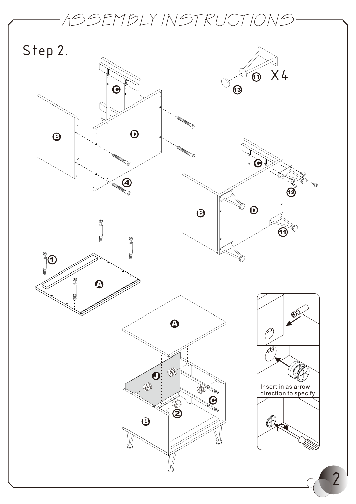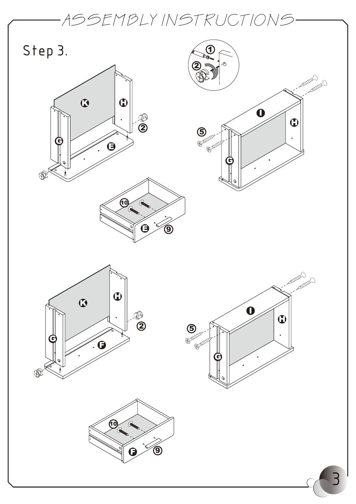